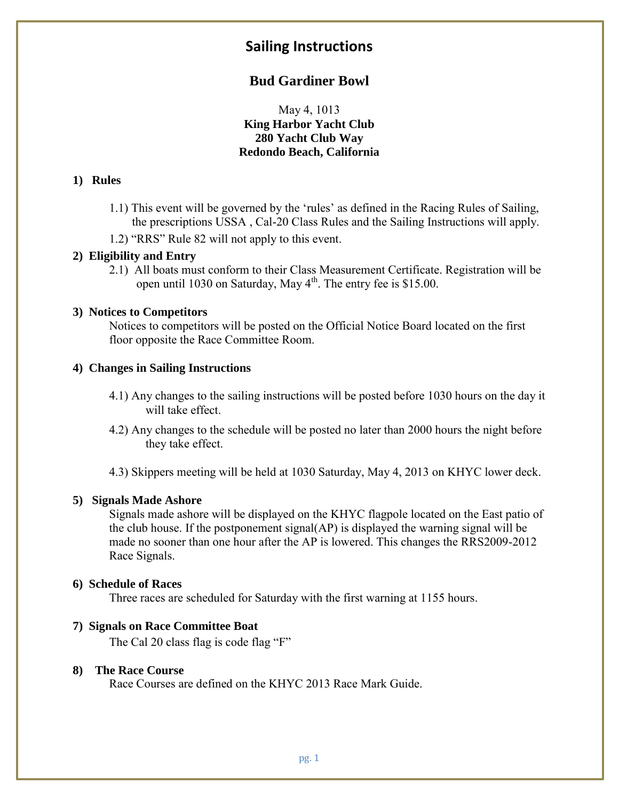## **Sailing Instructions**

## **Bud Gardiner Bowl**

May 4, 1013 **King Harbor Yacht Club 280 Yacht Club Way Redondo Beach, California**

#### **1) Rules**

- 1.1) This event will be governed by the 'rules' as defined in the Racing Rules of Sailing, the prescriptions USSA , Cal-20 Class Rules and the Sailing Instructions will apply.
- 1.2) "RRS" Rule 82 will not apply to this event.

#### **2) Eligibility and Entry**

2.1) All boats must conform to their Class Measurement Certificate. Registration will be open until 1030 on Saturday, May  $4<sup>th</sup>$ . The entry fee is \$15.00.

#### **3) Notices to Competitors**

Notices to competitors will be posted on the Official Notice Board located on the first floor opposite the Race Committee Room.

#### **4) Changes in Sailing Instructions**

- 4.1) Any changes to the sailing instructions will be posted before 1030 hours on the day it will take effect.
- 4.2) Any changes to the schedule will be posted no later than 2000 hours the night before they take effect.
- 4.3) Skippers meeting will be held at 1030 Saturday, May 4, 2013 on KHYC lower deck.

#### **5) Signals Made Ashore**

Signals made ashore will be displayed on the KHYC flagpole located on the East patio of the club house. If the postponement signal(AP) is displayed the warning signal will be made no sooner than one hour after the AP is lowered. This changes the RRS2009-2012 Race Signals.

#### **6) Schedule of Races**

Three races are scheduled for Saturday with the first warning at 1155 hours.

#### **7) Signals on Race Committee Boat**

The Cal 20 class flag is code flag "F"

#### **8) The Race Course**

Race Courses are defined on the KHYC 2013 Race Mark Guide.